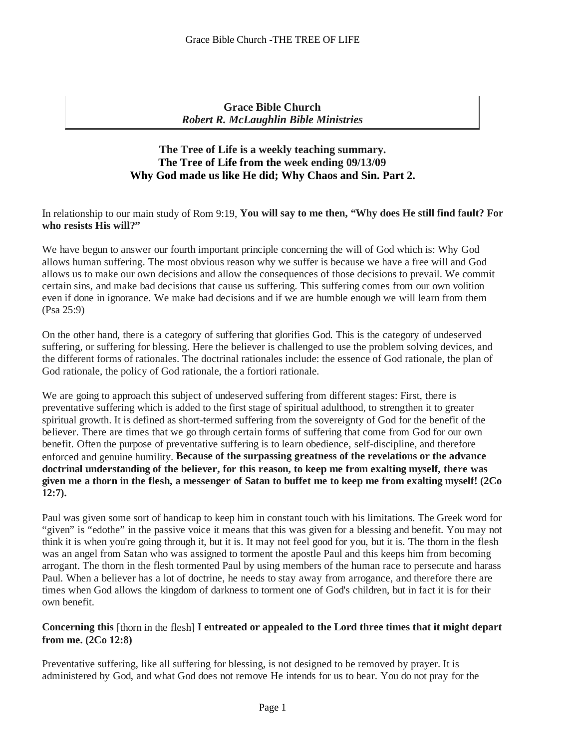**Grace Bible Church** *Robert R. McLaughlin Bible Ministries*

# **The Tree of Life is a weekly teaching summary. The Tree of Life from the week ending 09/13/09 Why God made us like He did; Why Chaos and Sin. Part 2.**

n relationship to our main study of Rom 9:19, **You will say to me then, "Why does He still find fault? For**  I **who resists His will?"**

We have begun to answer our fourth important principle concerning the will of God which is: Why God allows human suffering. The most obvious reason why we suffer is because we have a free will and God allows us to make our own decisions and allow the consequences of those decisions to prevail. We commit certain sins, and make bad decisions that cause us suffering. This suffering comes from our own volition even if done in ignorance. We make bad decisions and if we are humble enough we will learn from them (Psa 25:9)

On the other hand, there is a category of suffering that glorifies God. This is the category of undeserved suffering, or suffering for blessing. Here the believer is challenged to use the problem solving devices, and the different forms of rationales. The doctrinal rationales include: the essence of God rationale, the plan of God rationale, the policy of God rationale, the a fortiori rationale.

We are going to approach this subject of undeserved suffering from different stages: First, there is preventative suffering which is added to the first stage of spiritual adulthood, to strengthen it to greater spiritual growth. It is defined as short-termed suffering from the sovereignty of God for the benefit of the believer. There are times that we go through certain forms of suffering that come from God for our own benefit. Often the purpose of preventative suffering is to learn obedience, self-discipline, and therefore enforced and genuine humility. **Because of the surpassing greatness of the revelations or the advance doctrinal understanding of the believer, for this reason, to keep me from exalting myself, there was** given me a thorn in the flesh, a messenger of Satan to buffet me to keep me from exalting myself! (2Co **12:7).**

Paul was given some sort of handicap to keep him in constant touch with his limitations. The Greek word for "given" is "edothe" in the passive voice it means that this was given for <sup>a</sup> blessing and benefit. You may not think it is when you're going through it, but it is. It may not feel good for you, but it is. The thorn in the flesh was an angel from Satan who was assigned to torment the apostle Paul and this keeps him from becoming arrogant. The thorn in the flesh tormented Paul by using members of the human race to persecute and harass Paul. When a believer has a lot of doctrine, he needs to stay away from arrogance, and therefore there are times when God allows the kingdom of darkness to torment one of God's children, but in fact it is for their own benefit.

# **Concerning this** [thorn in the flesh] **I entreated or appealed to the Lord three times that it might depart from me. (2Co 12:8)**

Preventative suffering, like all suffering for blessing, is not designed to be removed by prayer. It is administered by God, and what God does not remove He intends for us to bear. You do not pray for the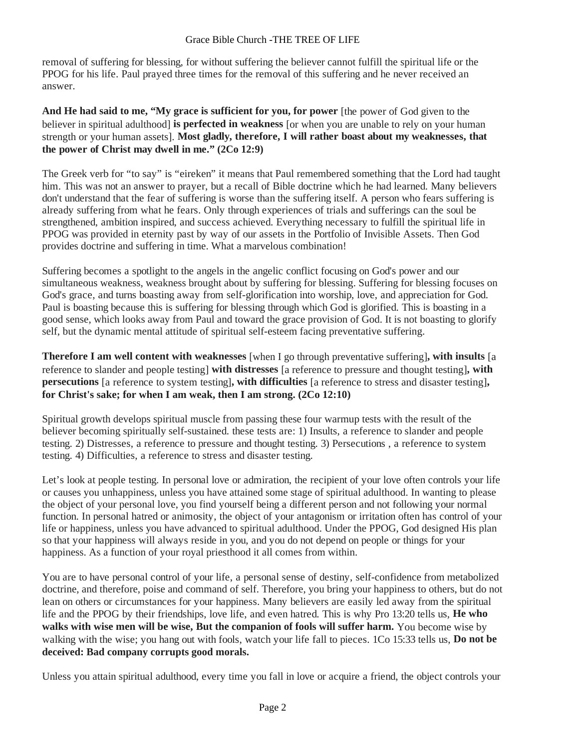removal of suffering for blessing, for without suffering the believer cannot fulfill the spiritual life or the PPOG for his life. Paul prayed three times for the removal of this suffering and he never received an answer.

**And He had said to me, "My grace is sufficient for you, for power** [the power of God given to the believer in spiritual adulthood] **is perfected in weakness** [or when you are unable to rely on your human strength or your human assets]. **Most gladly, therefore, I will rather boast about my weaknesses, that the power of Christ may dwell in me." (2Co 12:9)**

The Greek verb for "to say" is "eireken" it means that Paul remembered something that the Lord had taught him. This was not an answer to prayer, but a recall of Bible doctrine which he had learned. Many believers don't understand that the fear of suffering is worse than the suffering itself. A person who fears suffering is already suffering from what he fears. Only through experiences of trials and sufferings can the soul be strengthened, ambition inspired, and success achieved. Everything necessary to fulfill the spiritual life in PPOG was provided in eternity past by way of our assets in the Portfolio of Invisible Assets. Then God provides doctrine and suffering in time. What a marvelous combination!

Suffering becomes a spotlight to the angels in the angelic conflict focusing on God's power and our simultaneous weakness, weakness brought about by suffering for blessing. Suffering for blessing focuses on God's grace, and turns boasting away from self-glorification into worship, love, and appreciation for God. Paul is boasting because this is suffering for blessing through which God is glorified. This is boasting in a good sense, which looks away from Paul and toward the grace provision of God. It is not boasting to glorify self, but the dynamic mental attitude of spiritual self-esteem facing preventative suffering.

**Therefore I am well content with weaknesses** [when I go through preventative suffering]**, with insults** [a reference to slander and people testing] **with distresses** [a reference to pressure and thought testing]**, with persecutions** [a reference to system testing]**, with difficulties** [a reference to stress and disaster testing]**, for Christ's sake; for when I am weak, then I am strong. (2Co 12:10)**

Spiritual growth develops spiritual muscle from passing these four warmup tests with the result of the believer becoming spiritually self-sustained. these tests are: 1) Insults, a reference to slander and people testing. 2) Distresses, a reference to pressure and thought testing. 3) Persecutions , a reference to system testing. 4) Difficulties, a reference to stress and disaster testing.

Let's look at people testing. In personal love or admiration, the recipient of your love often controls your life or causes you unhappiness, unless you have attained some stage of spiritual adulthood. In wanting to please the object of your personal love, you find yourself being a different person and not following your normal function. In personal hatred or animosity, the object of your antagonism or irritation often has control of your life or happiness, unless you have advanced to spiritual adulthood. Under the PPOG, God designed His plan so that your happiness will always reside in you, and you do not depend on people or things for your happiness. As a function of your royal priesthood it all comes from within.

You are to have personal control of your life, a personal sense of destiny, self-confidence from metabolized doctrine, and therefore, poise and command of self. Therefore, you bring your happiness to others, but do not lean on others or circumstances for your happiness. Many believers are easily led away from the spiritual life and the PPOG by their friendships, love life, and even hatred. This is why Pro 13:20 tells us, **He who walks with wise men will be wise, But the companion of fools will suffer harm.** You become wise by walking with the wise; you hang out with fools, watch your life fall to pieces. 1Co 15:33 tells us, **Do not be deceived: Bad company corrupts good morals.**

Unless you attain spiritual adulthood, every time you fall in love or acquire a friend, the object controls your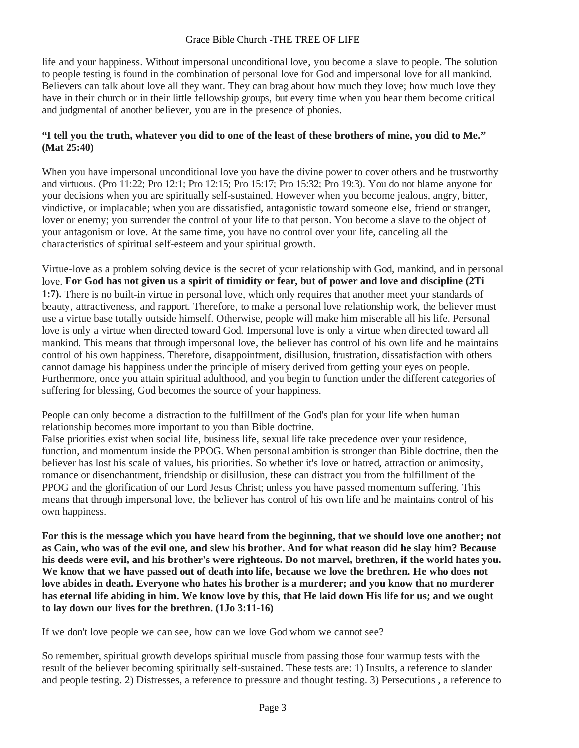life and your happiness. Without impersonal unconditional love, you become a slave to people. The solution to people testing is found in the combination of personal love for God and impersonal love for all mankind. Believers can talk about love all they want. They can brag about how much they love; how much love they have in their church or in their little fellowship groups, but every time when you hear them become critical and judgmental of another believer, you are in the presence of phonies.

# **"I tell you the truth, whatever you did to one of the least of these brothers of mine, you did to Me." (Mat 25:40)**

When you have impersonal unconditional love you have the divine power to cover others and be trustworthy and virtuous. (Pro 11:22; Pro 12:1; Pro 12:15; Pro 15:17; Pro 15:32; Pro 19:3). You do not blame anyone for your decisions when you are spiritually self-sustained. However when you become jealous, angry, bitter, vindictive, or implacable; when you are dissatisfied, antagonistic toward someone else, friend or stranger, lover or enemy; you surrender the control of your life to that person. You become a slave to the object of your antagonism or love. At the same time, you have no control over your life, canceling all the characteristics of spiritual self-esteem and your spiritual growth.

Virtue-love as a problem solving device is the secret of your relationship with God, mankind, and in personal love. **For God has not given us a spirit of timidity or fear, but of power and love and discipline (2Ti 1:7).** There is no built-in virtue in personal love, which only requires that another meet your standards of beauty, attractiveness, and rapport. Therefore, to make a personal love relationship work, the believer must use a virtue base totally outside himself. Otherwise, people will make him miserable all his life. Personal love is only a virtue when directed toward God. Impersonal love is only a virtue when directed toward all mankind. This means that through impersonal love, the believer has control of his own life and he maintains control of his own happiness. Therefore, disappointment, disillusion, frustration, dissatisfaction with others cannot damage his happiness under the principle of misery derived from getting your eyes on people. Furthermore, once you attain spiritual adulthood, and you begin to function under the different categories of suffering for blessing, God becomes the source of your happiness.

People can only become a distraction to the fulfillment of the God's plan for your life when human relationship becomes more important to you than Bible doctrine.

False priorities exist when social life, business life, sexual life take precedence over your residence, function, and momentum inside the PPOG. When personal ambition is stronger than Bible doctrine, then the believer has lost his scale of values, his priorities. So whether it's love or hatred, attraction or animosity, romance or disenchantment, friendship or disillusion, these can distract you from the fulfillment of the PPOG and the glorification of our Lord Jesus Christ; unless you have passed momentum suffering. This means that through impersonal love, the believer has control of his own life and he maintains control of his own happiness.

**For this is the message which you have heard from the beginning, that we should love one another; not as Cain, who was of the evil one, and slew his brother. And for what reason did he slay him? Because his deeds were evil, and his brother's were righteous. Do not marvel, brethren, if the world hates you.**  We know that we have passed out of death into life, because we love the brethren. He who does not **love abides in death. Everyone who hates his brother is a murderer; and you know that no murderer has eternal life abiding in him. We know love by this, that He laid down His life for us; and we ought to lay down our lives for the brethren. (1Jo 3:11-16)**

If we don't love people we can see, how can we love God whom we cannot see?

So remember, spiritual growth develops spiritual muscle from passing those four warmup tests with the result of the believer becoming spiritually self-sustained. These tests are: 1) Insults, a reference to slander and people testing. 2) Distresses, a reference to pressure and thought testing. 3) Persecutions , a reference to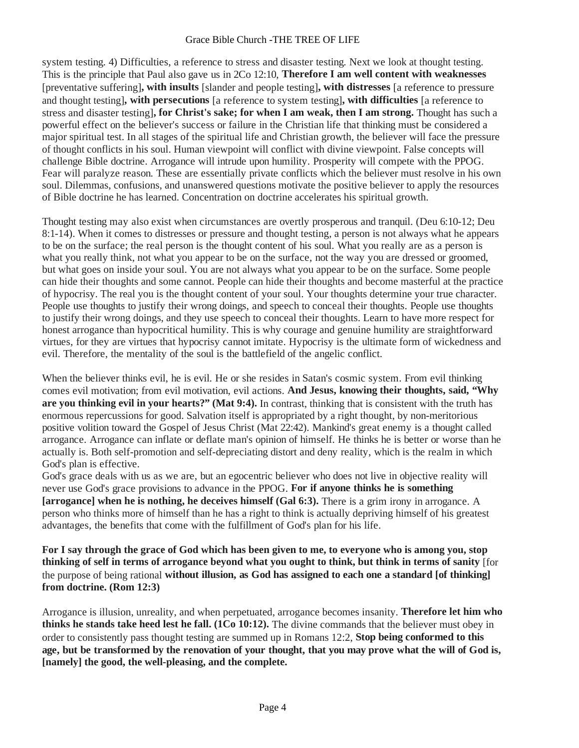system testing. 4) Difficulties, a reference to stress and disaster testing. Next we look at thought testing. This is the principle that Paul also gave us in 2Co 12:10, **Therefore I am well content with weaknesses**  [preventative suffering]**, with insults** [slander and people testing]**, with distresses** [a reference to pressure and thought testing]**, with persecutions** [a reference to system testing]**, with difficulties** [a reference to stress and disaster testing]**, for Christ's sake; for when I am weak, then I am strong.** Thought has such a powerful effect on the believer's success or failure in the Christian life that thinking must be considered a major spiritual test. In all stages of the spiritual life and Christian growth, the believer will face the pressure of thought conflicts in his soul. Human viewpoint will conflict with divine viewpoint. False concepts will challenge Bible doctrine. Arrogance will intrude upon humility. Prosperity will compete with the PPOG. Fear will paralyze reason. These are essentially private conflicts which the believer must resolve in his own soul. Dilemmas, confusions, and unanswered questions motivate the positive believer to apply the resources of Bible doctrine he has learned. Concentration on doctrine accelerates his spiritual growth.

Thought testing may also exist when circumstances are overtly prosperous and tranquil. (Deu 6:10-12; Deu 8:1-14). When it comes to distresses or pressure and thought testing, a person is not always what he appears to be on the surface; the real person is the thought content of his soul. What you really are as a person is what you really think, not what you appear to be on the surface, not the way you are dressed or groomed, but what goes on inside your soul. You are not always what you appear to be on the surface. Some people can hide their thoughts and some cannot. People can hide their thoughts and become masterful at the practice of hypocrisy. The real you is the thought content of your soul. Your thoughts determine your true character. People use thoughts to justify their wrong doings, and speech to conceal their thoughts. People use thoughts to justify their wrong doings, and they use speech to conceal their thoughts. Learn to have more respect for honest arrogance than hypocritical humility. This is why courage and genuine humility are straightforward virtues, for they are virtues that hypocrisy cannot imitate. Hypocrisy is the ultimate form of wickedness and evil. Therefore, the mentality of the soul is the battlefield of the angelic conflict.

When the believer thinks evil, he is evil. He or she resides in Satan's cosmic system. From evil thinking comes evil motivation; from evil motivation, evil actions. **And Jesus, knowing their thoughts, said, "Why are you thinking evil in your hearts?" (Mat 9:4).** In contrast, thinking that is consistent with the truth has enormous repercussions for good. Salvation itself is appropriated by a right thought, by non-meritorious positive volition toward the Gospel of Jesus Christ (Mat 22:42). Mankind's great enemy is a thought called arrogance. Arrogance can inflate or deflate man's opinion of himself. He thinks he is better or worse than he actually is. Both self-promotion and self-depreciating distort and deny reality, which is the realm in which God's plan is effective.

God's grace deals with us as we are, but an egocentric believer who does not live in objective reality will never use God's grace provisions to advance in the PPOG. **For if anyone thinks he is something [arrogance] when he is nothing, he deceives himself (Gal 6:3).** There is a grim irony in arrogance. A person who thinks more of himself than he has a right to think is actually depriving himself of his greatest advantages, the benefits that come with the fulfillment of God's plan for his life.

**For I say through the grace of God which has been given to me, to everyone who is among you, stop thinking of self in terms of arrogance beyond what you ought to think, but think in terms of sanity** [for the purpose of being rational **without illusion, as God has assigned to each one a standard [of thinking] from doctrine. (Rom 12:3)**

Arrogance is illusion, unreality, and when perpetuated, arrogance becomes insanity. **Therefore let him who thinks he stands take heed lest he fall. (1Co 10:12).** The divine commands that the believer must obey in order to consistently pass thought testing are summed up in Romans 12:2, **Stop being conformed to this** age, but be transformed by the renovation of your thought, that you may prove what the will of God is, **[namely] the good, the well-pleasing, and the complete.**